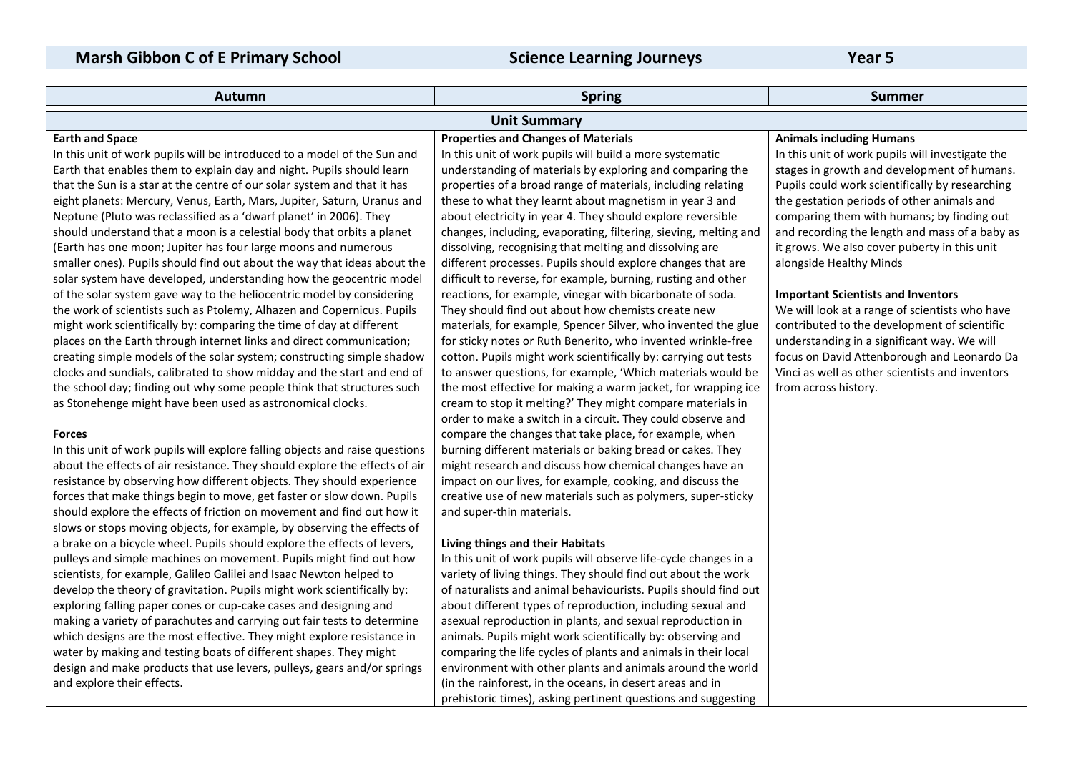| Marsh Gibbon C of E Primary School | <b>Science Learning Journeys</b> | Year 5 |
|------------------------------------|----------------------------------|--------|
|                                    |                                  |        |

| Autumn                                                                                                                                                                                                                                                                                                                                                                                                                                                                                                                                                                                                                                                                                                   | <b>Spring</b>                                                                                                                                                                                                                                                                                                                                                                                                                                                                                                                                                                                                                                                                                      | <b>Summer</b>                                                                                                                                                                                                                                                                                                                                                                                                  |  |  |  |  |
|----------------------------------------------------------------------------------------------------------------------------------------------------------------------------------------------------------------------------------------------------------------------------------------------------------------------------------------------------------------------------------------------------------------------------------------------------------------------------------------------------------------------------------------------------------------------------------------------------------------------------------------------------------------------------------------------------------|----------------------------------------------------------------------------------------------------------------------------------------------------------------------------------------------------------------------------------------------------------------------------------------------------------------------------------------------------------------------------------------------------------------------------------------------------------------------------------------------------------------------------------------------------------------------------------------------------------------------------------------------------------------------------------------------------|----------------------------------------------------------------------------------------------------------------------------------------------------------------------------------------------------------------------------------------------------------------------------------------------------------------------------------------------------------------------------------------------------------------|--|--|--|--|
| <b>Unit Summary</b>                                                                                                                                                                                                                                                                                                                                                                                                                                                                                                                                                                                                                                                                                      |                                                                                                                                                                                                                                                                                                                                                                                                                                                                                                                                                                                                                                                                                                    |                                                                                                                                                                                                                                                                                                                                                                                                                |  |  |  |  |
| <b>Earth and Space</b><br>In this unit of work pupils will be introduced to a model of the Sun and<br>Earth that enables them to explain day and night. Pupils should learn<br>that the Sun is a star at the centre of our solar system and that it has<br>eight planets: Mercury, Venus, Earth, Mars, Jupiter, Saturn, Uranus and<br>Neptune (Pluto was reclassified as a 'dwarf planet' in 2006). They<br>should understand that a moon is a celestial body that orbits a planet<br>(Earth has one moon; Jupiter has four large moons and numerous<br>smaller ones). Pupils should find out about the way that ideas about the                                                                         | <b>Properties and Changes of Materials</b><br>In this unit of work pupils will build a more systematic<br>understanding of materials by exploring and comparing the<br>properties of a broad range of materials, including relating<br>these to what they learnt about magnetism in year 3 and<br>about electricity in year 4. They should explore reversible<br>changes, including, evaporating, filtering, sieving, melting and<br>dissolving, recognising that melting and dissolving are<br>different processes. Pupils should explore changes that are                                                                                                                                        | <b>Animals including Humans</b><br>In this unit of work pupils will investigate the<br>stages in growth and development of humans.<br>Pupils could work scientifically by researching<br>the gestation periods of other animals and<br>comparing them with humans; by finding out<br>and recording the length and mass of a baby as<br>it grows. We also cover puberty in this unit<br>alongside Healthy Minds |  |  |  |  |
| solar system have developed, understanding how the geocentric model<br>of the solar system gave way to the heliocentric model by considering<br>the work of scientists such as Ptolemy, Alhazen and Copernicus. Pupils<br>might work scientifically by: comparing the time of day at different<br>places on the Earth through internet links and direct communication;<br>creating simple models of the solar system; constructing simple shadow<br>clocks and sundials, calibrated to show midday and the start and end of<br>the school day; finding out why some people think that structures such                                                                                                    | difficult to reverse, for example, burning, rusting and other<br>reactions, for example, vinegar with bicarbonate of soda.<br>They should find out about how chemists create new<br>materials, for example, Spencer Silver, who invented the glue<br>for sticky notes or Ruth Benerito, who invented wrinkle-free<br>cotton. Pupils might work scientifically by: carrying out tests<br>to answer questions, for example, 'Which materials would be<br>the most effective for making a warm jacket, for wrapping ice                                                                                                                                                                               | <b>Important Scientists and Inventors</b><br>We will look at a range of scientists who have<br>contributed to the development of scientific<br>understanding in a significant way. We will<br>focus on David Attenborough and Leonardo Da<br>Vinci as well as other scientists and inventors<br>from across history.                                                                                           |  |  |  |  |
| as Stonehenge might have been used as astronomical clocks.<br><b>Forces</b><br>In this unit of work pupils will explore falling objects and raise questions<br>about the effects of air resistance. They should explore the effects of air<br>resistance by observing how different objects. They should experience<br>forces that make things begin to move, get faster or slow down. Pupils<br>should explore the effects of friction on movement and find out how it<br>slows or stops moving objects, for example, by observing the effects of                                                                                                                                                       | cream to stop it melting?' They might compare materials in<br>order to make a switch in a circuit. They could observe and<br>compare the changes that take place, for example, when<br>burning different materials or baking bread or cakes. They<br>might research and discuss how chemical changes have an<br>impact on our lives, for example, cooking, and discuss the<br>creative use of new materials such as polymers, super-sticky<br>and super-thin materials.                                                                                                                                                                                                                            |                                                                                                                                                                                                                                                                                                                                                                                                                |  |  |  |  |
| a brake on a bicycle wheel. Pupils should explore the effects of levers,<br>pulleys and simple machines on movement. Pupils might find out how<br>scientists, for example, Galileo Galilei and Isaac Newton helped to<br>develop the theory of gravitation. Pupils might work scientifically by:<br>exploring falling paper cones or cup-cake cases and designing and<br>making a variety of parachutes and carrying out fair tests to determine<br>which designs are the most effective. They might explore resistance in<br>water by making and testing boats of different shapes. They might<br>design and make products that use levers, pulleys, gears and/or springs<br>and explore their effects. | Living things and their Habitats<br>In this unit of work pupils will observe life-cycle changes in a<br>variety of living things. They should find out about the work<br>of naturalists and animal behaviourists. Pupils should find out<br>about different types of reproduction, including sexual and<br>asexual reproduction in plants, and sexual reproduction in<br>animals. Pupils might work scientifically by: observing and<br>comparing the life cycles of plants and animals in their local<br>environment with other plants and animals around the world<br>(in the rainforest, in the oceans, in desert areas and in<br>prehistoric times), asking pertinent questions and suggesting |                                                                                                                                                                                                                                                                                                                                                                                                                |  |  |  |  |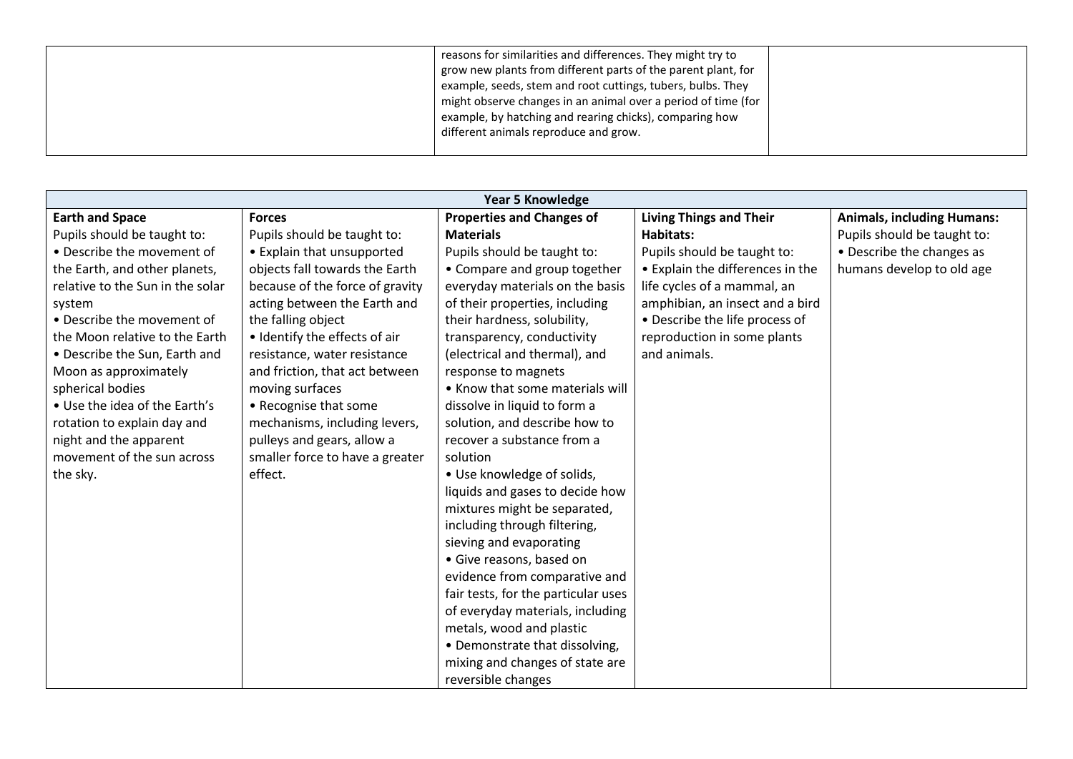| reasons for similarities and differences. They might try to<br>grow new plants from different parts of the parent plant, for<br>example, seeds, stem and root cuttings, tubers, bulbs. They<br>$\frac{1}{2}$ might observe changes in an animal over a period of time (for $\frac{1}{2}$<br>example, by hatching and rearing chicks), comparing how<br>different animals reproduce and grow. |  |
|----------------------------------------------------------------------------------------------------------------------------------------------------------------------------------------------------------------------------------------------------------------------------------------------------------------------------------------------------------------------------------------------|--|
|----------------------------------------------------------------------------------------------------------------------------------------------------------------------------------------------------------------------------------------------------------------------------------------------------------------------------------------------------------------------------------------------|--|

| <b>Year 5 Knowledge</b>          |                                 |                                     |                                  |                                   |  |  |
|----------------------------------|---------------------------------|-------------------------------------|----------------------------------|-----------------------------------|--|--|
| <b>Earth and Space</b>           | <b>Forces</b>                   | <b>Properties and Changes of</b>    | <b>Living Things and Their</b>   | <b>Animals, including Humans:</b> |  |  |
| Pupils should be taught to:      | Pupils should be taught to:     | <b>Materials</b>                    | Habitats:                        | Pupils should be taught to:       |  |  |
| • Describe the movement of       | • Explain that unsupported      | Pupils should be taught to:         | Pupils should be taught to:      | • Describe the changes as         |  |  |
| the Earth, and other planets,    | objects fall towards the Earth  | • Compare and group together        | • Explain the differences in the | humans develop to old age         |  |  |
| relative to the Sun in the solar | because of the force of gravity | everyday materials on the basis     | life cycles of a mammal, an      |                                   |  |  |
| system                           | acting between the Earth and    | of their properties, including      | amphibian, an insect and a bird  |                                   |  |  |
| • Describe the movement of       | the falling object              | their hardness, solubility,         | • Describe the life process of   |                                   |  |  |
| the Moon relative to the Earth   | • Identify the effects of air   | transparency, conductivity          | reproduction in some plants      |                                   |  |  |
| • Describe the Sun, Earth and    | resistance, water resistance    | (electrical and thermal), and       | and animals.                     |                                   |  |  |
| Moon as approximately            | and friction, that act between  | response to magnets                 |                                  |                                   |  |  |
| spherical bodies                 | moving surfaces                 | • Know that some materials will     |                                  |                                   |  |  |
| • Use the idea of the Earth's    | • Recognise that some           | dissolve in liquid to form a        |                                  |                                   |  |  |
| rotation to explain day and      | mechanisms, including levers,   | solution, and describe how to       |                                  |                                   |  |  |
| night and the apparent           | pulleys and gears, allow a      | recover a substance from a          |                                  |                                   |  |  |
| movement of the sun across       | smaller force to have a greater | solution                            |                                  |                                   |  |  |
| the sky.                         | effect.                         | • Use knowledge of solids,          |                                  |                                   |  |  |
|                                  |                                 | liquids and gases to decide how     |                                  |                                   |  |  |
|                                  |                                 | mixtures might be separated,        |                                  |                                   |  |  |
|                                  |                                 | including through filtering,        |                                  |                                   |  |  |
|                                  |                                 | sieving and evaporating             |                                  |                                   |  |  |
|                                  |                                 | • Give reasons, based on            |                                  |                                   |  |  |
|                                  |                                 | evidence from comparative and       |                                  |                                   |  |  |
|                                  |                                 | fair tests, for the particular uses |                                  |                                   |  |  |
|                                  |                                 | of everyday materials, including    |                                  |                                   |  |  |
|                                  |                                 | metals, wood and plastic            |                                  |                                   |  |  |
|                                  |                                 | • Demonstrate that dissolving,      |                                  |                                   |  |  |
|                                  |                                 | mixing and changes of state are     |                                  |                                   |  |  |
|                                  |                                 | reversible changes                  |                                  |                                   |  |  |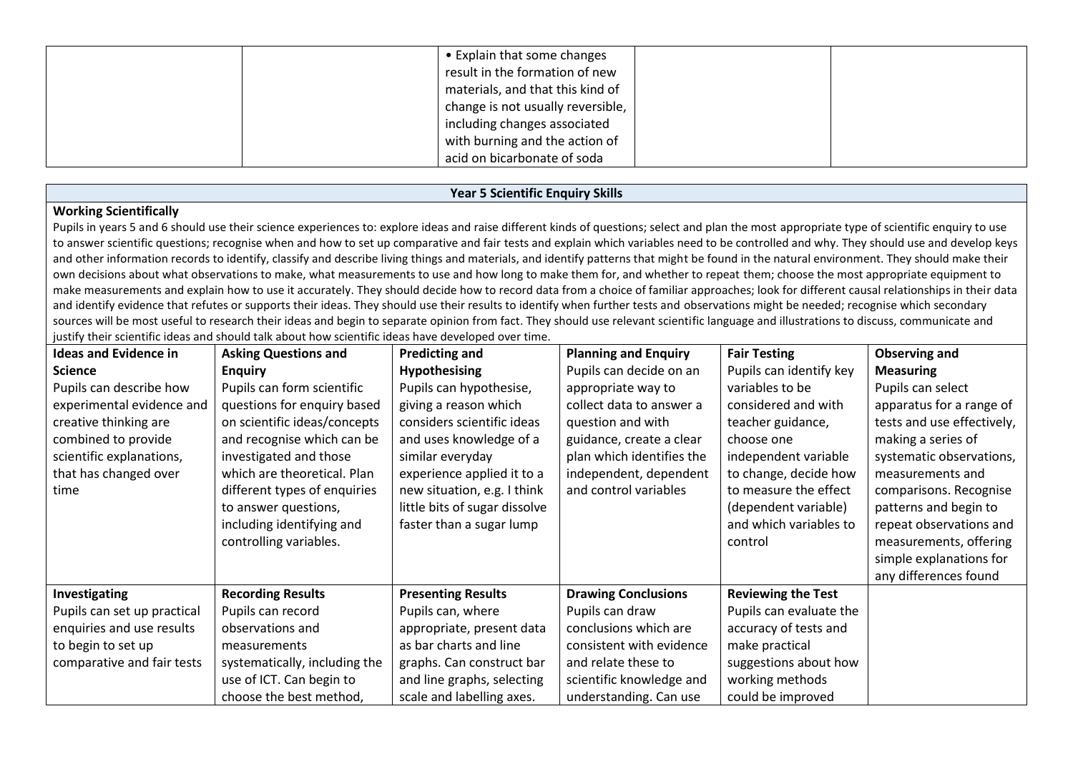|  | • Explain that some changes       |  |
|--|-----------------------------------|--|
|  | result in the formation of new    |  |
|  | materials, and that this kind of  |  |
|  | change is not usually reversible, |  |
|  | including changes associated      |  |
|  | with burning and the action of    |  |
|  | acid on bicarbonate of soda       |  |

## **Year 5 Scientific Enquiry Skills**

## **Working Scientifically**

Pupils in years 5 and 6 should use their science experiences to: explore ideas and raise different kinds of questions; select and plan the most appropriate type of scientific enquiry to use to answer scientific questions; recognise when and how to set up comparative and fair tests and explain which variables need to be controlled and why. They should use and develop keys and other information records to identify, classify and describe living things and materials, and identify patterns that might be found in the natural environment. They should make their own decisions about what observations to make, what measurements to use and how long to make them for, and whether to repeat them; choose the most appropriate equipment to make measurements and explain how to use it accurately. They should decide how to record data from a choice of familiar approaches; look for different causal relationships in their data and identify evidence that refutes or supports their ideas. They should use their results to identify when further tests and observations might be needed; recognise which secondary sources will be most useful to research their ideas and begin to separate opinion from fact. They should use relevant scientific language and illustrations to discuss, communicate and justify their scientific ideas and should talk about how scientific ideas have developed over time.

| <b>Ideas and Evidence in</b> | <b>Asking Questions and</b>   | <b>Predicting and</b>         | <b>Planning and Enquiry</b> | <b>Fair Testing</b>       | <b>Observing and</b>       |
|------------------------------|-------------------------------|-------------------------------|-----------------------------|---------------------------|----------------------------|
| <b>Science</b>               | <b>Enquiry</b>                | <b>Hypothesising</b>          | Pupils can decide on an     | Pupils can identify key   | <b>Measuring</b>           |
| Pupils can describe how      | Pupils can form scientific    | Pupils can hypothesise,       | appropriate way to          | variables to be           | Pupils can select          |
| experimental evidence and    | questions for enquiry based   | giving a reason which         | collect data to answer a    | considered and with       | apparatus for a range of   |
| creative thinking are        | on scientific ideas/concepts  | considers scientific ideas    | question and with           | teacher guidance,         | tests and use effectively, |
| combined to provide          | and recognise which can be    | and uses knowledge of a       | guidance, create a clear    | choose one                | making a series of         |
| scientific explanations,     | investigated and those        | similar everyday              | plan which identifies the   | independent variable      | systematic observations,   |
| that has changed over        | which are theoretical. Plan   | experience applied it to a    | independent, dependent      | to change, decide how     | measurements and           |
| time                         | different types of enquiries  | new situation, e.g. I think   | and control variables       | to measure the effect     | comparisons. Recognise     |
|                              | to answer questions,          | little bits of sugar dissolve |                             | (dependent variable)      | patterns and begin to      |
|                              | including identifying and     | faster than a sugar lump      |                             | and which variables to    | repeat observations and    |
|                              | controlling variables.        |                               |                             | control                   | measurements, offering     |
|                              |                               |                               |                             |                           | simple explanations for    |
|                              |                               |                               |                             |                           | any differences found      |
| Investigating                | <b>Recording Results</b>      | <b>Presenting Results</b>     | <b>Drawing Conclusions</b>  | <b>Reviewing the Test</b> |                            |
| Pupils can set up practical  | Pupils can record             | Pupils can, where             | Pupils can draw             | Pupils can evaluate the   |                            |
| enquiries and use results    | observations and              | appropriate, present data     | conclusions which are       | accuracy of tests and     |                            |
| to begin to set up           | measurements                  | as bar charts and line        | consistent with evidence    | make practical            |                            |
| comparative and fair tests   | systematically, including the | graphs. Can construct bar     | and relate these to         | suggestions about how     |                            |
|                              | use of ICT. Can begin to      | and line graphs, selecting    | scientific knowledge and    | working methods           |                            |
|                              | choose the best method,       | scale and labelling axes.     | understanding. Can use      | could be improved         |                            |